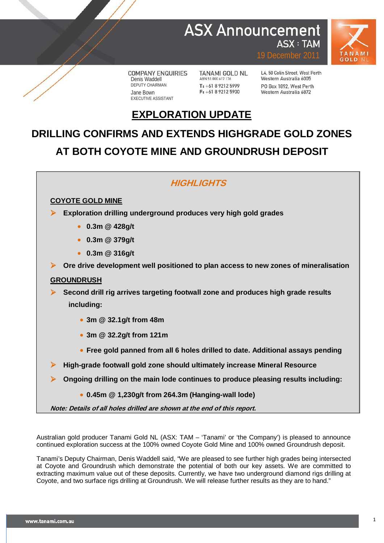### **ASX Announcement ASX: TAM**



**COMPANY ENQUIRIES** Denis Waddell DEPUTY CHAIRMAN Jane Bown EXECUTIVE ASSISTANT

**TANAMI GOLD NL** ABN 51 000 617 176 T: +61 8 9212 5999  $F: +61892125900$ 

L4, 50 Colin Street, West Perth Western Australia 6005 PO Box 1892 West Perth Western Australia 6872

19 December 2011

# **EXPLORATION UPDATE**

# **DRILLING CONFIRMS AND EXTENDS HIGHGRADE GOLD ZONES AT BOTH COYOTE MINE AND GROUNDRUSH DEPOSIT**

### **HIGHLIGHTS**

### **COYOTE GOLD MINE**

- **Exploration drilling underground produces very high gold grades** 
	- **0.3m @ 428g/t**
	- **0.3m @ 379g/t**
	- **0.3m @ 316g/t**

**Ore drive development well positioned to plan access to new zones of mineralisation**

### **GROUNDRUSH**

 **Second drill rig arrives targeting footwall zone and produces high grade results including:**

- **3m @ 32.1g/t from 48m**
- **3m @ 32.2g/t from 121m**
- **Free gold panned from all 6 holes drilled to date. Additional assays pending**
- **High-grade footwall gold zone should ultimately increase Mineral Resource**
- **Ongoing drilling on the main lode continues to produce pleasing results including:**
	- **0.45m @ 1,230g/t from 264.3m (Hanging-wall lode)**

**Note: Details of all holes drilled are shown at the end of this report.**

Australian gold producer Tanami Gold NL (ASX: TAM – 'Tanami' or 'the Company') is pleased to announce continued exploration success at the 100% owned Coyote Gold Mine and 100% owned Groundrush deposit.

Tanami's Deputy Chairman, Denis Waddell said, "We are pleased to see further high grades being intersected at Coyote and Groundrush which demonstrate the potential of both our key assets. We are committed to extracting maximum value out of these deposits. Currently, we have two underground diamond rigs drilling at Coyote, and two surface rigs drilling at Groundrush. We will release further results as they are to hand."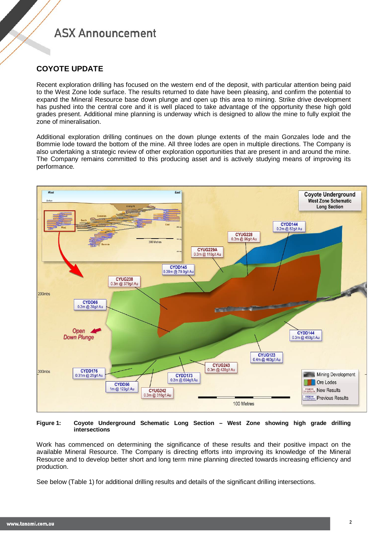### **COYOTE UPDATE**

Recent exploration drilling has focused on the western end of the deposit, with particular attention being paid to the West Zone lode surface. The results returned to date have been pleasing, and confirm the potential to expand the Mineral Resource base down plunge and open up this area to mining. Strike drive development has pushed into the central core and it is well placed to take advantage of the opportunity these high gold grades present. Additional mine planning is underway which is designed to allow the mine to fully exploit the zone of mineralisation.

Additional exploration drilling continues on the down plunge extents of the main Gonzales lode and the Bommie lode toward the bottom of the mine. All three lodes are open in multiple directions. The Company is also undertaking a strategic review of other exploration opportunities that are present in and around the mine. The Company remains committed to this producing asset and is actively studying means of improving its performance.



#### **Figure 1: Coyote Underground Schematic Long Section – West Zone showing high grade drilling intersections**

Work has commenced on determining the significance of these results and their positive impact on the available Mineral Resource. The Company is directing efforts into improving its knowledge of the Mineral Resource and to develop better short and long term mine planning directed towards increasing efficiency and production.

See below (Table 1) for additional drilling results and details of the significant drilling intersections.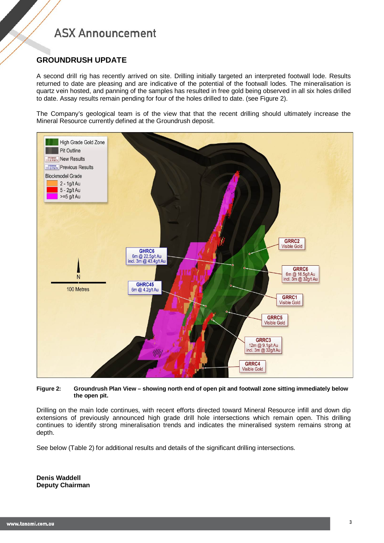### **GROUNDRUSH UPDATE**

A second drill rig has recently arrived on site. Drilling initially targeted an interpreted footwall lode. Results returned to date are pleasing and are indicative of the potential of the footwall lodes. The mineralisation is quartz vein hosted, and panning of the samples has resulted in free gold being observed in all six holes drilled to date. Assay results remain pending for four of the holes drilled to date. (see Figure 2).

The Company's geological team is of the view that that the recent drilling should ultimately increase the Mineral Resource currently defined at the Groundrush deposit.



#### **Figure 2: Groundrush Plan View – showing north end of open pit and footwall zone sitting immediately below the open pit.**

Drilling on the main lode continues, with recent efforts directed toward Mineral Resource infill and down dip extensions of previously announced high grade drill hole intersections which remain open. This drilling continues to identify strong mineralisation trends and indicates the mineralised system remains strong at depth.

See below (Table 2) for additional results and details of the significant drilling intersections.

**Denis Waddell Deputy Chairman**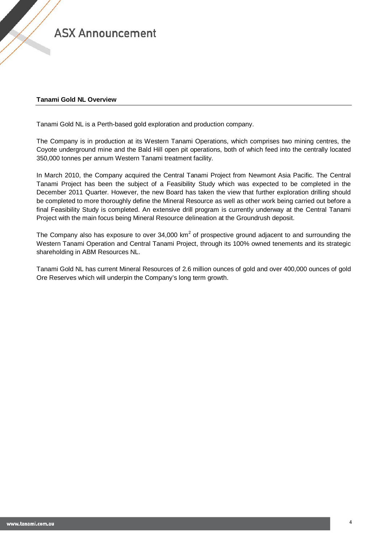#### **Tanami Gold NL Overview**

Tanami Gold NL is a Perth-based gold exploration and production company.

The Company is in production at its Western Tanami Operations, which comprises two mining centres, the Coyote underground mine and the Bald Hill open pit operations, both of which feed into the centrally located 350,000 tonnes per annum Western Tanami treatment facility.

In March 2010, the Company acquired the Central Tanami Project from Newmont Asia Pacific. The Central Tanami Project has been the subject of a Feasibility Study which was expected to be completed in the December 2011 Quarter. However, the new Board has taken the view that further exploration drilling should be completed to more thoroughly define the Mineral Resource as well as other work being carried out before a final Feasibility Study is completed. An extensive drill program is currently underway at the Central Tanami Project with the main focus being Mineral Resource delineation at the Groundrush deposit.

The Company also has exposure to over  $34,000 \text{ km}^2$  of prospective ground adjacent to and surrounding the Western Tanami Operation and Central Tanami Project, through its 100% owned tenements and its strategic shareholding in ABM Resources NL.

Tanami Gold NL has current Mineral Resources of 2.6 million ounces of gold and over 400,000 ounces of gold Ore Reserves which will underpin the Company's long term growth.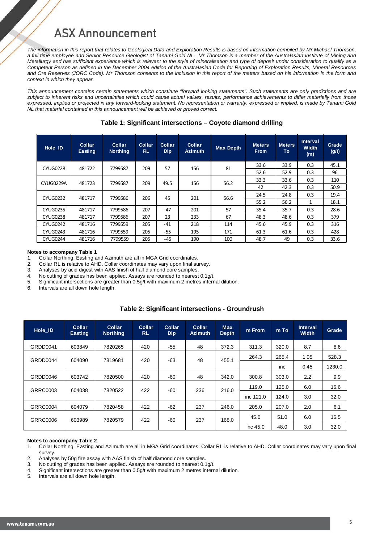*The information in this report that relates to Geological Data and Exploration Results is based on information compiled by Mr Michael Thomson, a full time employee and Senior Resource Geologist of Tanami Gold NL. Mr Thomson is a member of the Australasian Institute of Mining and Metallurgy and has sufficient experience which is relevant to the style of mineralisation and type of deposit under consideration to qualify as a Competent Person as defined in the December 2004 edition of the Australasian Code for Reporting of Exploration Results, Mineral Resources and Ore Reserves (JORC Code). Mr Thomson consents to the inclusion in this report of the matters based on his information in the form and context in which they appear.*

*This announcement contains certain statements which constitute "forward looking statements". Such statements are only predictions and are subject to inherent risks and uncertainties which could cause actual values, results, performance achievements to differ materially from those expressed, implied or projected in any forward-looking statement. No representation or warranty, expressed or implied, is made by Tanami Gold NL that material contained in this announcement will be achieved or proved correct.* 

| Hole ID         | <b>Collar</b><br>Easting                             | Collar<br><b>Northing</b> | <b>Collar</b><br><b>RL</b> | Collar<br><b>Dip</b> | Collar<br><b>Azimuth</b> | <b>Max Depth</b> | Meters.<br><b>From</b> | <b>Meters</b><br>To | Interval<br>Width<br>(m) | Grade<br>(g/t) |
|-----------------|------------------------------------------------------|---------------------------|----------------------------|----------------------|--------------------------|------------------|------------------------|---------------------|--------------------------|----------------|
| <b>CYUG0228</b> | 481722                                               | 7799587                   | 209                        | 57                   | 156                      | 81               | 33.6                   | 33.9                | 0.3                      | 45.1           |
|                 |                                                      |                           |                            | 52.6                 | 52.9                     | 0.3              | 96                     |                     |                          |                |
|                 | 209<br>49.5<br>CYUG0229A<br>481723<br>7799587<br>156 | 56.2                      | 33.3                       | 33.6                 | 0.3                      | 110              |                        |                     |                          |                |
|                 |                                                      |                           |                            |                      |                          |                  | 42                     | 42.3                | 0.3                      | 50.9           |
| <b>CYUG0232</b> | 481717                                               | 7799586                   | 206                        | 45                   | 201                      | 56.6             | 24.5                   | 24.8                | 0.3                      | 19.4           |
|                 |                                                      |                           |                            |                      |                          |                  | 55.2                   | 56.2                | 1                        | 18.1           |
| <b>CYUG0235</b> | 481717                                               | 7799586                   | 207                        | $-47$                | 201                      | 57               | 35.4                   | 35.7                | 0.3                      | 28.6           |
| <b>CYUG0238</b> | 481717                                               | 7799586                   | 207                        | 23                   | 233                      | 67               | 48.3                   | 48.6                | 0.3                      | 379            |
| <b>CYUG0242</b> | 481716                                               | 7799559                   | 205                        | $-41$                | 218                      | 114              | 45.6                   | 45.9                | 0.3                      | 316            |
| <b>CYUG0243</b> | 481716                                               | 7799559                   | 205                        | $-55$                | 195                      | 171              | 61.3                   | 61.6                | 0.3                      | 428            |
| <b>CYUG0244</b> | 481716                                               | 7799559                   | 205                        | $-45$                | 190                      | 100              | 48.7                   | 49                  | 0.3                      | 33.6           |

#### **Table 1: Significant intersections – Coyote diamond drilling**

### **Notes to accompany Table 1**<br>1 Collar Northing Easting a

1. Collar Northing, Easting and Azimuth are all in MGA Grid coordinates.<br>2. Collar RL is relative to AHD. Collar coordinates may vary upon final su

- 2. Collar RL is relative to AHD. Collar coordinates may vary upon final survey.<br>3. Analyses by acid digest with AAS finish of half diamond core samples.
- Analyses by acid digest with AAS finish of half diamond core samples.

4. No cutting of grades has been applied. Assays are rounded to nearest 0.1g/t.

5. Significant intersections are greater than 0.5g/t with maximum 2 metres internal dilution.<br>6. Intervals are all down hole length

Intervals are all down hole length.

#### **Table 2: Significant intersections - Groundrush**

| Hole ID         | <b>Collar</b><br><b>Easting</b>       | Collar<br><b>Northing</b>    | Collar<br><b>RL</b> | Collar<br><b>Dip</b> | <b>Collar</b><br><b>Azimuth</b> | <b>Max</b><br><b>Depth</b> | m From     | m To  | <b>Interval</b><br><b>Width</b> | Grade  |
|-----------------|---------------------------------------|------------------------------|---------------------|----------------------|---------------------------------|----------------------------|------------|-------|---------------------------------|--------|
| GRDD0041        | 603849                                | 7820265                      | 420                 | -55                  | 48                              | 372.3                      | 311.3      | 320.0 | 8.7                             | 8.6    |
| GRDD0044        | 48<br>604090<br>7819681<br>420<br>-63 | 455.1                        | 264.3               | 265.4                | 1.05                            | 528.3                      |            |       |                                 |        |
|                 |                                       |                              |                     |                      |                                 |                            |            | inc   | 0.45                            | 1230.0 |
| GRDD0046        | 603742                                | 7820500                      | 420                 | -60                  | 48                              | 342.0                      | 300.8      | 303.0 | 2.2                             | 9.9    |
| GRRC0003        | 604038                                | 422<br>236<br>7820522<br>-60 |                     |                      |                                 | 216.0                      | 119.0      | 125.0 | 6.0                             | 16.6   |
|                 |                                       |                              |                     |                      | inc 121.0                       | 124.0                      | 3.0        | 32.0  |                                 |        |
| <b>GRRC0004</b> | 604079                                | 7820458                      | 422                 | -62                  | 237                             | 246.0                      | 205.0      | 207.0 | 2.0                             | 6.1    |
| <b>GRRC0006</b> |                                       | 7820579                      |                     |                      |                                 |                            | 45.0       | 51.0  | 6.0                             | 16.5   |
|                 | 603989                                |                              | 422                 | -60                  | 237                             | 168.0                      | inc $45.0$ | 48.0  | 3.0                             | 32.0   |

### **Notes to accompany Table 2**<br>1. Collar Northing, Easting a

1. Collar Northing, Easting and Azimuth are all in MGA Grid coordinates. Collar RL is relative to AHD. Collar coordinates may vary upon final survey.

2. Analyses by 50g fire assay with AAS finish of half diamond core samples.

- 3. No cutting of grades has been applied. Assays are rounded to nearest 0.1g/t.
- 4. Significant intersections are greater than  $0.5g/t$  with maximum 2 metres internal dilution.<br>5. Intervals are all down hole length
- Intervals are all down hole length.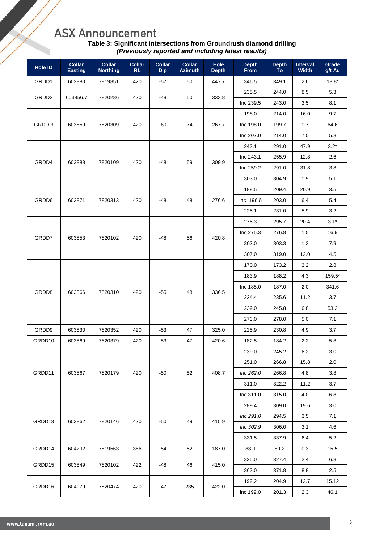| Table 3: Significant intersections from Groundrush diamond drilling |  |
|---------------------------------------------------------------------|--|
| (Previously reported and including latest results)                  |  |

| Hole ID           | <b>Collar</b><br><b>Easting</b> | <b>Collar</b><br><b>Northing</b> | <b>Collar</b><br>RL | <b>Collar</b><br><b>Dip</b> | <b>Collar</b><br><b>Azimuth</b> | Hole<br><b>Depth</b> | <b>Depth</b><br>From | <b>Depth</b><br>To | <b>Interval</b><br><b>Width</b> | Grade<br>g/t Au |
|-------------------|---------------------------------|----------------------------------|---------------------|-----------------------------|---------------------------------|----------------------|----------------------|--------------------|---------------------------------|-----------------|
| GRDD1             | 603980                          | 7819851                          | 420                 | $-57$                       | 50                              | 447.7                | 346.5                | 349.1              | 2.6                             | $13.8*$         |
|                   |                                 |                                  |                     |                             |                                 |                      | 235.5                | 244.0              | 8.5                             | 5.3             |
| GRDD <sub>2</sub> | 603856.7                        | 7820236                          | 420                 | -48                         | 50                              | 333.8                | Inc 239.5            | 243.0              | 3.5                             | 8.1             |
|                   |                                 |                                  |                     |                             |                                 |                      | 198.0                | 214.0              | 16.0                            | 9.7             |
| GRDD 3            | 603859                          | 7820309                          | 420                 | -60                         | 74                              | 267.7                | Inc 198.0            | 199.7              | 1.7                             | 64.6            |
|                   |                                 |                                  |                     |                             |                                 |                      | Inc 207.0            | 214.0              | 7.0                             | 5.8             |
|                   |                                 |                                  |                     |                             |                                 |                      | 243.1                | 291.0              | 47.9                            | $3.2*$          |
|                   |                                 |                                  |                     |                             |                                 |                      | Inc 243.1            | 255.9              | 12.8                            | 2.6             |
| GRDD4             | 603888                          | 7820109                          | 420                 | -48                         | 59                              | 309.9                | Inc 259.2            | 291.0              | 31.8                            | 3.8             |
|                   |                                 |                                  |                     |                             |                                 |                      | 303.0                | 304.9              | 1.9                             | 5.1             |
|                   |                                 |                                  |                     |                             |                                 |                      | 188.5                | 209.4              | 20.9                            | 3.5             |
| GRDD6             | 603871                          | 7820313                          | 420                 | -48                         | 48                              | 276.6                | Inc 196.6            | 203.0              | 6.4                             | 5.4             |
|                   |                                 |                                  |                     |                             |                                 |                      | 225.1                | 231.0              | 5.9                             | 3.2             |
|                   |                                 |                                  |                     |                             |                                 |                      | 275.3                | 295.7              | 20.4                            | $3.1*$          |
|                   | 603853                          | 7820102                          | 420                 | -48                         | 56                              | 420.8                | Inc 275.3            | 276.8              | 1.5                             | 16.9            |
| GRDD7             |                                 |                                  |                     |                             |                                 |                      | 302.0                | 303.3              | 1.3                             | 7.9             |
|                   |                                 |                                  |                     |                             |                                 |                      | 307.0                | 319.0              | 12.0                            | 4.5             |
|                   |                                 | 7820310                          | 420                 | $-55$                       | 48                              | 336.5                | 170.0                | 173.2              | 3.2                             | 2.8             |
|                   |                                 |                                  |                     |                             |                                 |                      | 183.9                | 188.2              | 4.3                             | 159.5*          |
|                   | 603866                          |                                  |                     |                             |                                 |                      | Inc 185.0            | 187.0              | 2.0                             | 341.6           |
| GRDD8             |                                 |                                  |                     |                             |                                 |                      | 224.4                | 235.6              | 11.2                            | 3.7             |
|                   |                                 |                                  |                     |                             |                                 |                      | 239.0                | 245.8              | 6.8                             | 53.2            |
|                   |                                 |                                  |                     |                             |                                 |                      | 273.0                | 278.0              | 5.0                             | 7.1             |
| GRDD9             | 603830                          | 7820352                          | 420                 | $-53$                       | 47                              | 325.0                | 225.9                | 230.8              | 4.9                             | 3.7             |
| GRDD10            | 603869                          | 7820379                          | 420                 | $-53$                       | 47                              | 420.6                | 182.5                | 184.2              | 2.2                             | 5.8             |
|                   |                                 |                                  |                     |                             |                                 |                      | 239.0                | 245.2              | $6.2\,$                         | $3.0\,$         |
|                   |                                 |                                  |                     |                             | 52                              | 408.7                | 251.0                | 266.8              | 15.8                            | 2.0             |
| GRDD11            | 603867                          | 7820179                          | 420                 | -50                         |                                 |                      | Inc 262.0            | 266.8              | 4.8                             | 3.8             |
|                   |                                 |                                  |                     |                             |                                 |                      | 311.0                | 322.2              | 11.2                            | 3.7             |
|                   |                                 |                                  |                     |                             |                                 |                      | Inc 311.0            | 315.0              | 4.0                             | 6.8             |
|                   |                                 |                                  |                     |                             |                                 |                      | 289.4                | 309.0              | 19.6                            | 3.0             |
| GRDD13            | 603862                          | 7820146                          | 420                 | $-50$                       | 49                              | 415.9                | Inc 291.0            | 294.5              | 3.5                             | 7.1             |
|                   |                                 |                                  |                     |                             |                                 |                      | Inc 302.9            | 306.0              | 3.1                             | 4.6             |
|                   |                                 |                                  |                     |                             |                                 |                      | 331.5                | 337.9              | 6.4                             | 5.2             |
| GRDD14            | 604292                          | 7819563                          | 366                 | -54                         | 52                              | 187.0                | 88.9                 | 89.2               | 0.3                             | 15.5            |
| GRDD15            |                                 |                                  | 422                 |                             |                                 |                      | 325.0                | 327.4              | 2.4                             | 6.8             |
|                   | 603849                          | 7820102                          |                     | -48                         | 46                              | 415.0                | 363.0                | 371.8              | 8.8                             | 2.5             |
|                   |                                 |                                  |                     |                             |                                 |                      | 192.2                | 204.9              | 12.7                            | 15.12           |
| GRDD16            | 604079                          | 7820474                          | 420                 | -47                         | 235                             | 422.0                | inc 199.0            | 201.3              | 2.3                             | 46.1            |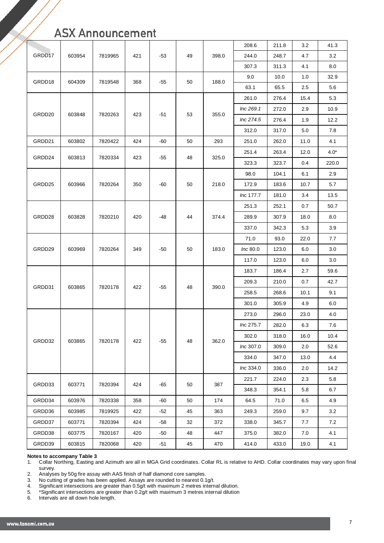|        |        |         |     |       | 208.6 | 211.8 | 3.2       | 41.3  |      |        |
|--------|--------|---------|-----|-------|-------|-------|-----------|-------|------|--------|
| GRDD17 | 603954 | 7819965 | 421 | $-53$ | 49    | 398.0 | 244.0     | 248.7 | 4.7  | 3.2    |
|        |        |         |     |       |       |       | 307.3     | 311.3 | 4.1  | 8.0    |
| GRDD18 | 604309 | 7819548 | 368 | -55   | 50    | 188.0 | 9.0       | 10.0  | 1.0  | 32.9   |
|        |        |         |     |       |       |       | 63.1      | 65.5  | 2.5  | 5.6    |
|        |        |         |     |       |       |       | 261.0     | 276.4 | 15.4 | 5.3    |
| GRDD20 | 603848 | 7820263 | 423 | $-51$ | 53    | 355.0 | Inc 269.1 | 272.0 | 2.9  | 10.9   |
|        |        |         |     |       |       |       | Inc 274.5 | 276.4 | 1.9  | 12.2   |
|        |        |         |     |       |       |       | 312.0     | 317.0 | 5.0  | 7.8    |
| GRDD21 | 603802 | 7820422 | 424 | -60   | 50    | 293   | 251.0     | 262.0 | 11.0 | 4.1    |
|        |        |         |     |       |       |       | 251.4     | 263.4 | 12.0 | $4.0*$ |
| GRDD24 | 603813 | 7820334 | 423 | -55   | 48    | 325.0 | 323.3     | 323.7 | 0.4  | 220.0  |
|        |        |         |     |       |       |       | 98.0      | 104.1 | 6.1  | 2.9    |
| GRDD25 | 603966 | 7820264 | 350 | -60   | 50    | 218.0 | 172.9     | 183.6 | 10.7 | 5.7    |
|        |        |         |     |       |       |       | Inc 177.7 | 181.0 | 3.4  | 13.5   |
|        |        |         |     | -48   | 44    |       | 251.3     | 252.1 | 0.7  | 50.7   |
| GRDD28 | 603828 | 7820210 | 420 |       |       | 374.4 | 289.9     | 307.9 | 18.0 | 8.0    |
|        |        |         |     |       |       |       | 337.0     | 342.3 | 5.3  | 3.9    |
|        |        | 7820264 | 349 | -50   | 50    |       | 71.0      | 93.0  | 22.0 | 7.7    |
| GRDD29 | 603969 |         |     |       |       | 183.0 | Inc 80.0  | 123.0 | 6.0  | 3.0    |
|        |        |         |     |       |       |       | 117.0     | 123.0 | 6.0  | 3.0    |
|        |        | 7820178 | 422 | -55   | 48    | 390.0 | 183.7     | 186.4 | 2.7  | 59.6   |
|        |        |         |     |       |       |       | 209.3     | 210.0 | 0.7  | 42.7   |
| GRDD31 | 603865 |         |     |       |       |       | 258.5     | 268.6 | 10.1 | 9.1    |
|        |        |         |     |       |       |       | 301.0     | 305.9 | 4.9  | 6.0    |
|        |        |         |     |       |       |       | 273.0     | 296.0 | 23.0 | 4.0    |
|        |        |         |     |       |       |       | Inc 275.7 | 282.0 | 6.3  | 7.6    |
|        |        |         | 422 |       |       |       | 302.0     | 318.0 | 16.0 | 10.4   |
| GRDD32 | 603865 | 7820178 |     | $-55$ | 48    | 362.0 | Inc 307.0 | 309.0 | 2.0  | 52.6   |
|        |        |         |     |       |       |       | 334.0     | 347.0 | 13.0 | 4.4    |
|        |        |         |     |       |       |       | Inc 334.0 | 336.0 | 2.0  | 14.2   |
|        |        |         |     |       |       |       | 221.7     | 224.0 | 2.3  | 5.8    |
| GRDD33 | 603771 | 7820394 | 424 | $-65$ | 50    | 387   | 348.3     | 354.1 | 5.8  | 6.7    |
| GRDD34 | 603976 | 7820338 | 358 | $-60$ | 50    | 174   | 64.5      | 71.0  | 6.5  | 4.9    |
| GRDD36 | 603985 | 7819925 | 422 | $-52$ | 45    | 363   | 249.3     | 259.0 | 9.7  | 3.2    |
| GRDD37 | 603771 | 7820394 | 424 | $-58$ | 32    | 372   | 338.0     | 345.7 | 7.7  | 7.2    |
| GRDD38 | 603775 | 7820167 | 420 | -50   | 48    | 447   | 375.0     | 382.0 | 7.0  | 4.1    |
| GRDD39 | 603815 | 7820068 | 420 | $-51$ | 45    | 470   | 414.0     | 433.0 | 19.0 | 4.1    |

#### **Notes to accompany Table 3**

1. Collar Northing, Easting and Azimuth are all in MGA Grid coordinates. Collar RL is relative to AHD. Collar coordinates may vary upon final survey.

2. Analyses by 50g fire assay with AAS finish of half diamond core samples.<br>3. No cutting of grades has been applied. Assays are rounded to nearest 0.1

3. No cutting of grades has been applied. Assays are rounded to nearest 0.1g/t.

4. Significant intersections are greater than 0.5g/t with maximum 2 metres internal dilution.

5. \*Significant intersections are greater than 0.2g/t with maximum 3 metres internal dilution

6. Intervals are all down hole length.